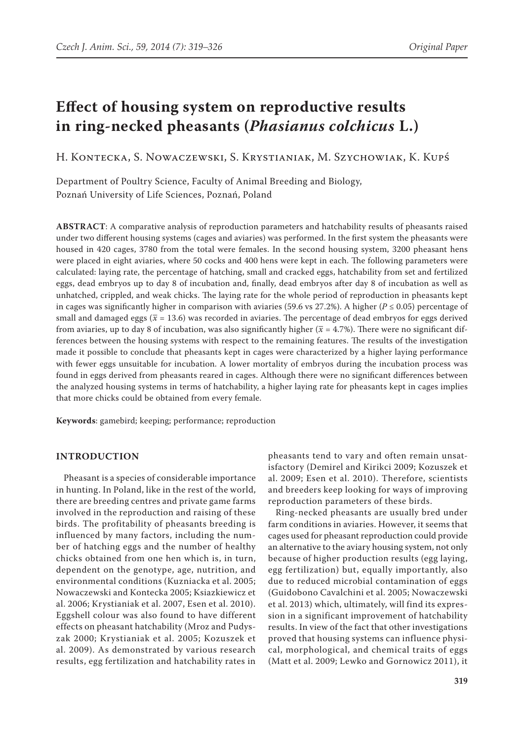# **Effect of housing system on reproductive results in ring-necked pheasants (***Phasianus colchicus* **L.)**

H. Kontecka, S. Nowaczewski, S. Krystianiak, M. Szychowiak, K. Kupś

Department of Poultry Science, Faculty of Animal Breeding and Biology, Poznań University of Life Sciences, Poznań, Poland

**ABSTRACT**: A comparative analysis of reproduction parameters and hatchability results of pheasants raised under two different housing systems (cages and aviaries) was performed. In the first system the pheasants were housed in 420 cages, 3780 from the total were females. In the second housing system, 3200 pheasant hens were placed in eight aviaries, where 50 cocks and 400 hens were kept in each. The following parameters were calculated: laying rate, the percentage of hatching, small and cracked eggs, hatchability from set and fertilized eggs, dead embryos up to day 8 of incubation and, finally, dead embryos after day 8 of incubation as well as unhatched, crippled, and weak chicks. The laying rate for the whole period of reproduction in pheasants kept in cages was significantly higher in comparison with aviaries (59.6 vs 27.2%). A higher ( $P \le 0.05$ ) percentage of small and damaged eggs ( $\bar{x}$  = 13.6) was recorded in aviaries. The percentage of dead embryos for eggs derived from aviaries, up to day 8 of incubation, was also significantly higher  $(\bar{x} = 4.7\%)$ . There were no significant differences between the housing systems with respect to the remaining features. The results of the investigation made it possible to conclude that pheasants kept in cages were characterized by a higher laying performance with fewer eggs unsuitable for incubation. A lower mortality of embryos during the incubation process was found in eggs derived from pheasants reared in cages. Although there were no significant differences between the analyzed housing systems in terms of hatchability, a higher laying rate for pheasants kept in cages implies that more chicks could be obtained from every female.

**Keywords**: gamebird; keeping; performance; reproduction

## **INTRODUCTION**

Pheasant is a species of considerable importance in hunting. In Poland, like in the rest of the world, there are breeding centres and private game farms involved in the reproduction and raising of these birds. The profitability of pheasants breeding is influenced by many factors, including the number of hatching eggs and the number of healthy chicks obtained from one hen which is, in turn, dependent on the genotype, age, nutrition, and environmental conditions (Kuzniacka et al. 2005; Nowaczewski and Kontecka 2005; Ksiazkiewicz et al. 2006; Krystianiak et al. 2007, Esen et al. 2010). Eggshell colour was also found to have different effects on pheasant hatchability (Mroz and Pudyszak 2000; Krystianiak et al. 2005; Kozuszek et al. 2009). As demonstrated by various research results, egg fertilization and hatchability rates in

pheasants tend to vary and often remain unsatisfactory (Demirel and Kirikci 2009; Kozuszek et al. 2009; Esen et al. 2010). Therefore, scientists and breeders keep looking for ways of improving reproduction parameters of these birds.

Ring-necked pheasants are usually bred under farm conditions in aviaries. However, it seems that cages used for pheasant reproduction could provide an alternative to the aviary housing system, not only because of higher production results (egg laying, egg fertilization) but, equally importantly, also due to reduced microbial contamination of eggs (Guidobono Cavalchini et al. 2005; Nowaczewski et al. 2013) which, ultimately, will find its expression in a significant improvement of hatchability results. In view of the fact that other investigations proved that housing systems can influence physical, morphological, and chemical traits of eggs (Matt et al. 2009; Lewko and Gornowicz 2011), it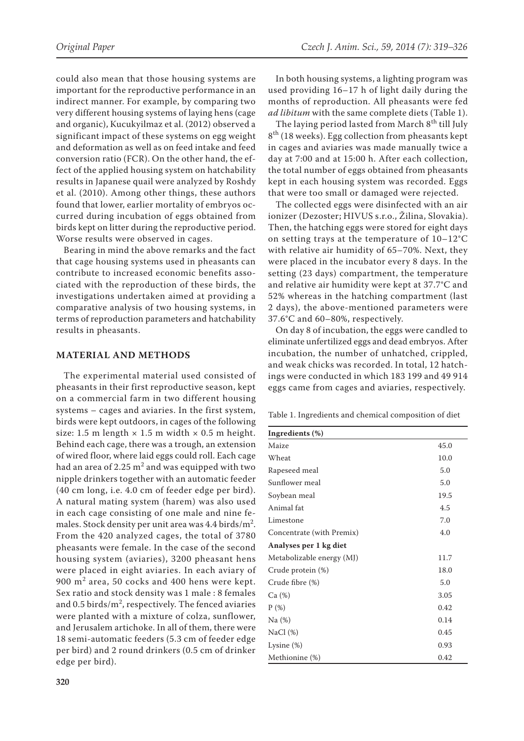could also mean that those housing systems are important for the reproductive performance in an indirect manner. For example, by comparing two very different housing systems of laying hens (cage and organic), Kucukyilmaz et al. (2012) observed a significant impact of these systems on egg weight and deformation as well as on feed intake and feed conversion ratio (FCR). On the other hand, the effect of the applied housing system on hatchability results in Japanese quail were analyzed by Roshdy et al. (2010). Among other things, these authors found that lower, earlier mortality of embryos occurred during incubation of eggs obtained from birds kept on litter during the reproductive period. Worse results were observed in cages.

Bearing in mind the above remarks and the fact that cage housing systems used in pheasants can contribute to increased economic benefits associated with the reproduction of these birds, the investigations undertaken aimed at providing a comparative analysis of two housing systems, in terms of reproduction parameters and hatchability results in pheasants.

## **MATERIAL AND METHODS**

The experimental material used consisted of pheasants in their first reproductive season, kept on a commercial farm in two different housing systems – cages and aviaries. In the first system, birds were kept outdoors, in cages of the following size: 1.5 m length  $\times$  1.5 m width  $\times$  0.5 m height. Behind each cage, there was a trough, an extension of wired floor, where laid eggs could roll. Each cage had an area of 2.25  $\mathrm{m}^2$  and was equipped with two nipple drinkers together with an automatic feeder (40 cm long, i.e. 4.0 cm of feeder edge per bird). A natural mating system (harem) was also used in each cage consisting of one male and nine females. Stock density per unit area was  $4.4$  birds/m<sup>2</sup>. From the 420 analyzed cages, the total of 3780 pheasants were female. In the case of the second housing system (aviaries), 3200 pheasant hens were placed in eight aviaries. In each aviary of  $900 \text{ m}^2$  area, 50 cocks and 400 hens were kept. Sex ratio and stock density was 1 male : 8 females and 0.5 birds/ $m^2$ , respectively. The fenced aviaries were planted with a mixture of colza, sunflower, and Jerusalem artichoke. In all of them, there were 18 semi-automatic feeders (5.3 cm of feeder edge per bird) and 2 round drinkers (0.5 cm of drinker edge per bird).

In both housing systems, a lighting program was used providing 16–17 h of light daily during the months of reproduction. All pheasants were fed *ad libitum* with the same complete diets (Table 1).

The laying period lasted from March 8<sup>th</sup> till July 8<sup>th</sup> (18 weeks). Egg collection from pheasants kept in cages and aviaries was made manually twice a day at 7:00 and at 15:00 h. After each collection, the total number of eggs obtained from pheasants kept in each housing system was recorded. Eggs that were too small or damaged were rejected.

The collected eggs were disinfected with an air ionizer (Dezoster; HIVUS s.r.o., Žilina, Slovakia). Then, the hatching eggs were stored for eight days on setting trays at the temperature of 10–12°C with relative air humidity of 65–70%. Next, they were placed in the incubator every 8 days. In the setting (23 days) compartment, the temperature and relative air humidity were kept at 37.7°C and 52% whereas in the hatching compartment (last 2 days), the above-mentioned parameters were 37.6°C and 60–80%, respectively.

On day 8 of incubation, the eggs were candled to eliminate unfertilized eggs and dead embryos. After incubation, the number of unhatched, crippled, and weak chicks was recorded. In total, 12 hatchings were conducted in which 183 199 and 49 914 eggs came from cages and aviaries, respectively.

Table 1. Ingredients and chemical composition of diet

| Ingredients (%)           |      |
|---------------------------|------|
| Maize                     | 45.0 |
| Wheat                     | 10.0 |
| Rapeseed meal             | 5.0  |
| Sunflower meal            | 5.0  |
| Soybean meal              | 19.5 |
| Animal fat                | 4.5  |
| Limestone                 | 7.0  |
| Concentrate (with Premix) | 4.0  |
| Analyses per 1 kg diet    |      |
| Metabolizable energy (MJ) | 11.7 |
| Crude protein (%)         | 18.0 |
| Crude fibre (%)           | 5.0  |
| Ca (%)                    | 3.05 |
| $P(\%)$                   | 0.42 |
| Na(%)                     | 0.14 |
| NaCl $(%)$                | 0.45 |
| Lysine $(\%)$             | 0.93 |
| Methionine (%)            | 0.42 |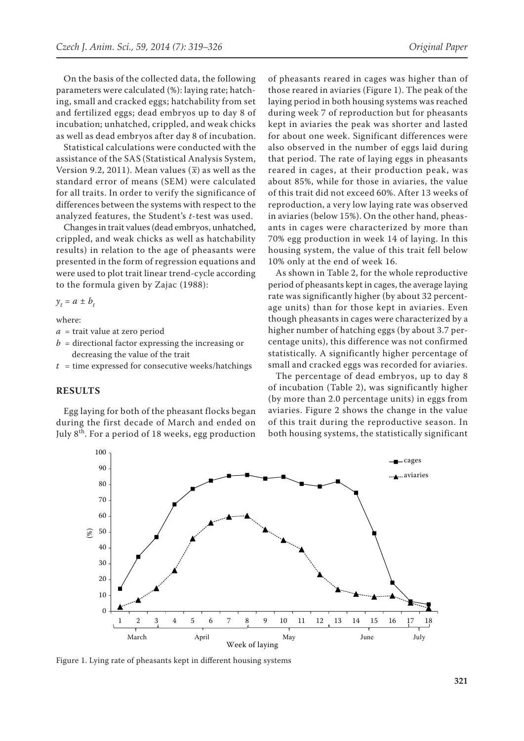On the basis of the collected data, the following parameters were calculated (%): laying rate; hatching, small and cracked eggs; hatchability from set and fertilized eggs; dead embryos up to day 8 of incubation; unhatched, crippled, and weak chicks as well as dead embryos after day 8 of incubation.

Statistical calculations were conducted with the assistance of the SAS (Statistical Analysis System, Version 9.2, 2011). Mean values  $(\overline{x})$  as well as the standard error of means (SEM) were calculated for all traits. In order to verify the significance of differences between the systems with respect to the analyzed features, the Student's *t*-test was used.

Changes in trait values (dead embryos, unhatched, crippled, and weak chicks as well as hatchability results) in relation to the age of pheasants were presented in the form of regression equations and were used to plot trait linear trend-cycle according to the formula given by Zajac (1988):

 $y_t = a \pm b_t$ 

where:

- *a* = trait value at zero period
- $b =$  directional factor expressing the increasing or decreasing the value of the trait
- $t =$  time expressed for consecutive weeks/hatchings

## **RESULTS**

Egg laying for both of the pheasant flocks began during the first decade of March and ended on July  $8<sup>th</sup>$ . For a period of 18 weeks, egg production of pheasants reared in cages was higher than of those reared in aviaries (Figure 1). The peak of the laying period in both housing systems was reached during week 7 of reproduction but for pheasants kept in aviaries the peak was shorter and lasted for about one week. Significant differences were also observed in the number of eggs laid during that period. The rate of laying eggs in pheasants reared in cages, at their production peak, was about 85%, while for those in aviaries, the value of this trait did not exceed 60%. After 13 weeks of reproduction, a very low laying rate was observed in aviaries (below 15%). On the other hand, pheasants in cages were characterized by more than 70% egg production in week 14 of laying. In this housing system, the value of this trait fell below 10% only at the end of week 16.

As shown in Table 2, for the whole reproductive period of pheasants kept in cages, the average laying rate was significantly higher (by about 32 percentage units) than for those kept in aviaries. Even though pheasants in cages were characterized by a higher number of hatching eggs (by about 3.7 percentage units), this difference was not confirmed statistically. A significantly higher percentage of small and cracked eggs was recorded for aviaries.

The percentage of dead embryos, up to day 8 of incubation (Table 2), was significantly higher (by more than 2.0 percentage units) in eggs from aviaries. Figure 2 shows the change in the value of this trait during the reproductive season. In both housing systems, the statistically significant



Figure 1. Lying rate of pheasants kept in different housing systems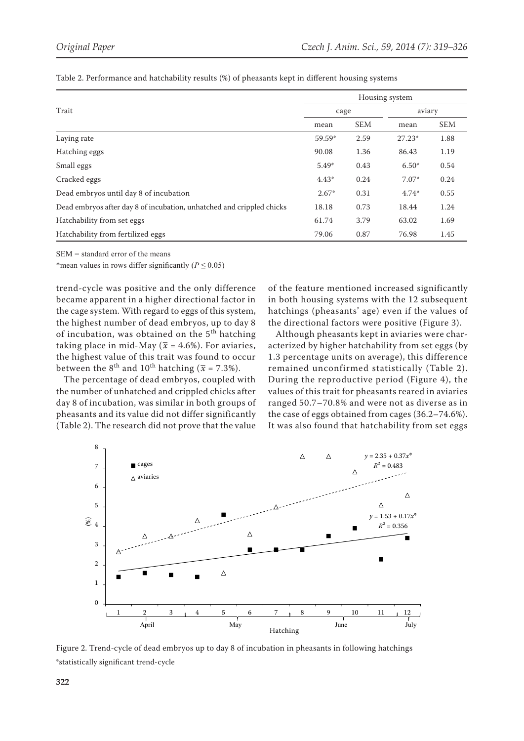|                                                                       | Housing system |            |          |            |
|-----------------------------------------------------------------------|----------------|------------|----------|------------|
| Trait                                                                 | cage           |            | aviary   |            |
|                                                                       | mean           | <b>SEM</b> | mean     | <b>SEM</b> |
| Laying rate                                                           | 59.59*         | 2.59       | $27.23*$ | 1.88       |
| Hatching eggs                                                         | 90.08          | 1.36       | 86.43    | 1.19       |
| Small eggs                                                            | $5.49*$        | 0.43       | $6.50*$  | 0.54       |
| Cracked eggs                                                          | $4.43*$        | 0.24       | $7.07*$  | 0.24       |
| Dead embryos until day 8 of incubation                                | $2.67*$        | 0.31       | $4.74*$  | 0.55       |
| Dead embryos after day 8 of incubation, unhatched and crippled chicks | 18.18          | 0.73       | 18.44    | 1.24       |
| Hatchability from set eggs                                            | 61.74          | 3.79       | 63.02    | 1.69       |
| Hatchability from fertilized eggs                                     | 79.06          | 0.87       | 76.98    | 1.45       |

Table 2. Performance and hatchability results (%) of pheasants kept in different housing systems

SEM = standard error of the means

\*mean values in rows differ significantly ( $P \le 0.05$ )

trend-cycle was positive and the only difference became apparent in a higher directional factor in the cage system. With regard to eggs of this system, the highest number of dead embryos, up to day 8 of incubation, was obtained on the  $5<sup>th</sup>$  hatching taking place in mid-May ( $\bar{x}$  = 4.6%). For aviaries, the highest value of this trait was found to occur between the 8<sup>th</sup> and 10<sup>th</sup> hatching ( $\bar{x}$  = 7.3%).

The percentage of dead embryos, coupled with the number of unhatched and crippled chicks after day 8 of incubation, was similar in both groups of pheasants and its value did not differ significantly (Table 2). The research did not prove that the value of the feature mentioned increased significantly in both housing systems with the 12 subsequent hatchings (pheasants' age) even if the values of the directional factors were positive (Figure 3).

Although pheasants kept in aviaries were characterized by higher hatchability from set eggs (by 1.3 percentage units on average), this difference remained unconfirmed statistically (Table 2). During the reproductive period (Figure 4), the values of this trait for pheasants reared in aviaries ranged 50.7–70.8% and were not as diverse as in the case of eggs obtained from cages (36.2–74.6%). It was also found that hatchability from set eggs



Figure 2. Trend-cycle of dead embryos up to day 8 of incubation in pheasants in following hatchings \*statistically significant trend-cycle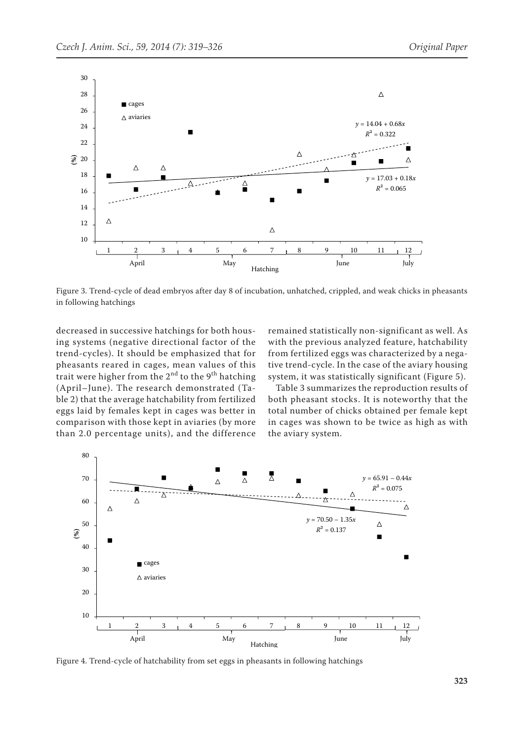

Figure 3. Trend-cycle of dead embryos after day 8 of incubation, unhatched, crippled, and weak chicks in pheasants in following hatchings

decreased in successive hatchings for both housing systems (negative directional factor of the trend-cycles). It should be emphasized that for pheasants reared in cages, mean values of this trait were higher from the  $2<sup>nd</sup>$  to the 9<sup>th</sup> hatching (April–June). The research demonstrated (Table 2) that the average hatchability from fertilized eggs laid by females kept in cages was better in comparison with those kept in aviaries (by more than 2.0 percentage units), and the difference

remained statistically non-significant as well. As with the previous analyzed feature, hatchability from fertilized eggs was characterized by a negative trend-cycle. In the case of the aviary housing system, it was statistically significant (Figure 5).

Table 3 summarizes the reproduction results of both pheasant stocks. It is noteworthy that the total number of chicks obtained per female kept in cages was shown to be twice as high as with the aviary system.



Figure 4. Trend-cycle of hatchability from set eggs in pheasants in following hatchings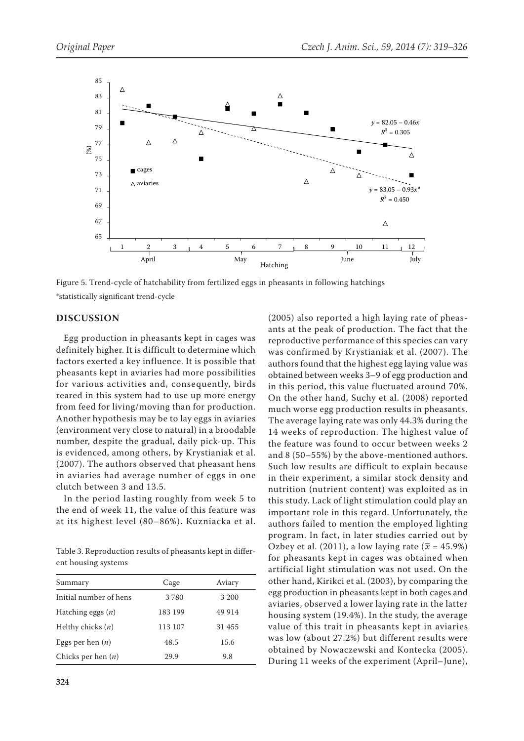

Figure 5. Trend-cycle of hatchability from fertilized eggs in pheasants in following hatchings \*statistically significant trend-cycle

### **DISCUSSION**

Egg production in pheasants kept in cages was definitely higher. It is difficult to determine which factors exerted a key influence. It is possible that pheasants kept in aviaries had more possibilities for various activities and, consequently, birds reared in this system had to use up more energy from feed for living/moving than for production. Another hypothesis may be to lay eggs in aviaries (environment very close to natural) in a broodable number, despite the gradual, daily pick-up. This is evidenced, among others, by Krystianiak et al. (2007). The authors observed that pheasant hens in aviaries had average number of eggs in one clutch between 3 and 13.5.

In the period lasting roughly from week 5 to the end of week 11, the value of this feature was at its highest level (80–86%). Kuzniacka et al.

Table 3. Reproduction results of pheasants kept in different housing systems

| Summary                | Cage    | Aviary  |
|------------------------|---------|---------|
| Initial number of hens | 3780    | 3 200   |
| Hatching eggs $(n)$    | 183 199 | 49 9 14 |
| Helthy chicks $(n)$    | 113 107 | 31 455  |
| Eggs per hen $(n)$     | 48.5    | 15.6    |
| Chicks per hen $(n)$   | 29.9    | 9.8     |

(2005) also reported a high laying rate of pheasants at the peak of production. The fact that the reproductive performance of this species can vary was confirmed by Krystianiak et al. (2007). The authors found that the highest egg laying value was obtained between weeks 3–9 of egg production and in this period, this value fluctuated around 70%. On the other hand, Suchy et al. (2008) reported much worse egg production results in pheasants. The average laying rate was only 44.3% during the 14 weeks of reproduction. The highest value of the feature was found to occur between weeks 2 and 8 (50–55%) by the above-mentioned authors. Such low results are difficult to explain because in their experiment, a similar stock density and nutrition (nutrient content) was exploited as in this study. Lack of light stimulation could play an important role in this regard. Unfortunately, the authors failed to mention the employed lighting program. In fact, in later studies carried out by Ozbey et al. (2011), a low laying rate ( $\bar{x}$  = 45.9%) for pheasants kept in cages was obtained when artificial light stimulation was not used. On the other hand, Kirikci et al. (2003), by comparing the egg production in pheasants kept in both cages and aviaries, observed a lower laying rate in the latter housing system (19.4%). In the study, the average value of this trait in pheasants kept in aviaries was low (about 27.2%) but different results were obtained by Nowaczewski and Kontecka (2005). During 11 weeks of the experiment (April–June),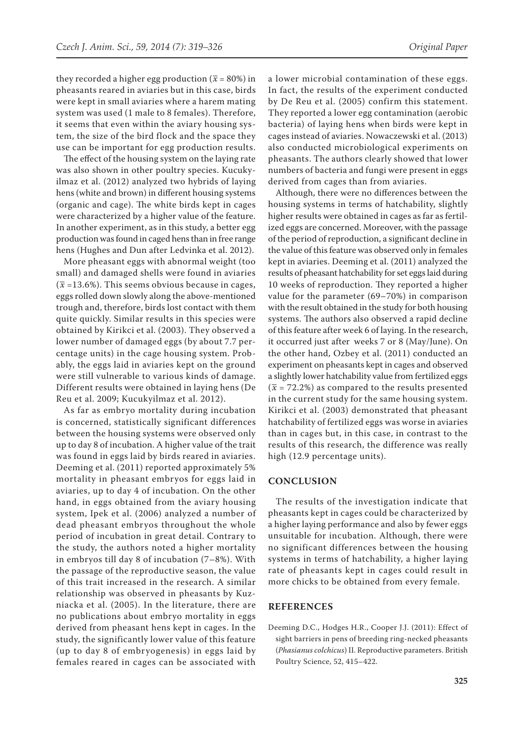they recorded a higher egg production ( $\bar{x}$  = 80%) in pheasants reared in aviaries but in this case, birds were kept in small aviaries where a harem mating system was used (1 male to 8 females). Therefore, it seems that even within the aviary housing system, the size of the bird flock and the space they use can be important for egg production results.

The effect of the housing system on the laying rate was also shown in other poultry species. Kucukyilmaz et al. (2012) analyzed two hybrids of laying hens (white and brown) in different housing systems (organic and cage). The white birds kept in cages were characterized by a higher value of the feature. In another experiment, as in this study, a better egg production was found in caged hens than in free range hens (Hughes and Dun after Ledvinka et al. 2012).

More pheasant eggs with abnormal weight (too small) and damaged shells were found in aviaries  $(\bar{x}$  =13.6%). This seems obvious because in cages, eggs rolled down slowly along the above-mentioned trough and, therefore, birds lost contact with them quite quickly. Similar results in this species were obtained by Kirikci et al. (2003). They observed a lower number of damaged eggs (by about 7.7 percentage units) in the cage housing system. Probably, the eggs laid in aviaries kept on the ground were still vulnerable to various kinds of damage. Different results were obtained in laying hens (De Reu et al. 2009; Kucukyilmaz et al. 2012).

As far as embryo mortality during incubation is concerned, statistically significant differences between the housing systems were observed only up to day 8 of incubation. A higher value of the trait was found in eggs laid by birds reared in aviaries. Deeming et al. (2011) reported approximately 5% mortality in pheasant embryos for eggs laid in aviaries, up to day 4 of incubation. On the other hand, in eggs obtained from the aviary housing system, Ipek et al. (2006) analyzed a number of dead pheasant embryos throughout the whole period of incubation in great detail. Contrary to the study, the authors noted a higher mortality in embryos till day 8 of incubation (7–8%). With the passage of the reproductive season, the value of this trait increased in the research. A similar relationship was observed in pheasants by Kuzniacka et al. (2005). In the literature, there are no publications about embryo mortality in eggs derived from pheasant hens kept in cages. In the study, the significantly lower value of this feature (up to day 8 of embryogenesis) in eggs laid by females reared in cages can be associated with

a lower microbial contamination of these eggs. In fact, the results of the experiment conducted by De Reu et al. (2005) confirm this statement. They reported a lower egg contamination (aerobic bacteria) of laying hens when birds were kept in cages instead of aviaries. Nowaczewski et al. (2013) also conducted microbiological experiments on pheasants. The authors clearly showed that lower numbers of bacteria and fungi were present in eggs derived from cages than from aviaries.

Although, there were no differences between the housing systems in terms of hatchability, slightly higher results were obtained in cages as far as fertilized eggs are concerned. Moreover, with the passage of the period of reproduction, a significant decline in the value of this feature was observed only in females kept in aviaries. Deeming et al. (2011) analyzed the results of pheasant hatchability for set eggs laid during 10 weeks of reproduction. They reported a higher value for the parameter (69–70%) in comparison with the result obtained in the study for both housing systems. The authors also observed a rapid decline of this feature after week 6 of laying. In the research, it occurred just after weeks 7 or 8 (May/June). On the other hand, Ozbey et al. (2011) conducted an experiment on pheasants kept in cages and observed a slightly lower hatchability value from fertilized eggs  $(\bar{x}$  = 72.2%) as compared to the results presented in the current study for the same housing system. Kirikci et al. (2003) demonstrated that pheasant hatchability of fertilized eggs was worse in aviaries than in cages but, in this case, in contrast to the results of this research, the difference was really high (12.9 percentage units).

### **CONCLUSION**

The results of the investigation indicate that pheasants kept in cages could be characterized by a higher laying performance and also by fewer eggs unsuitable for incubation. Although, there were no significant differences between the housing systems in terms of hatchability, a higher laying rate of pheasants kept in cages could result in more chicks to be obtained from every female.

### **REFERENCES**

Deeming D.C., Hodges H.R., Cooper J.J. (2011): Effect of sight barriers in pens of breeding ring-necked pheasants (*Phasianus colchicus*) II. Reproductive parameters. British Poultry Science, 52, 415–422.